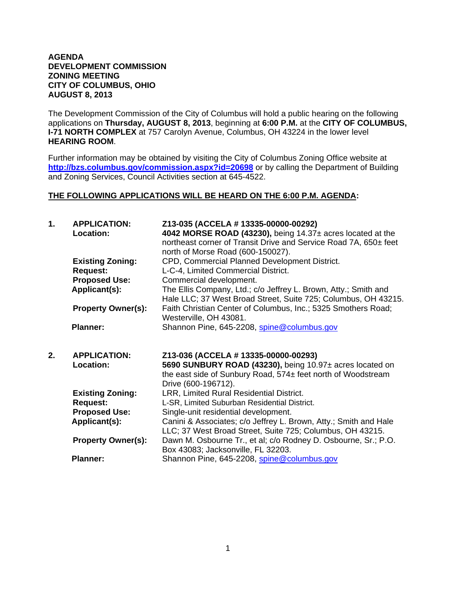## **AGENDA DEVELOPMENT COMMISSION ZONING MEETING CITY OF COLUMBUS, OHIO AUGUST 8, 2013**

The Development Commission of the City of Columbus will hold a public hearing on the following applications on **Thursday, AUGUST 8, 2013**, beginning at **6:00 P.M.** at the **CITY OF COLUMBUS, I-71 NORTH COMPLEX** at 757 Carolyn Avenue, Columbus, OH 43224 in the lower level **HEARING ROOM**.

Further information may be obtained by visiting the City of Columbus Zoning Office website at **http://bzs.columbus.gov/commission.aspx?id=20698** or by calling the Department of Building and Zoning Services, Council Activities section at 645-4522.

## **THE FOLLOWING APPLICATIONS WILL BE HEARD ON THE 6:00 P.M. AGENDA:**

| 1. | <b>APPLICATION:</b><br>Location: | Z13-035 (ACCELA # 13335-00000-00292)<br>4042 MORSE ROAD (43230), being $14.37\pm$ acres located at the<br>northeast corner of Transit Drive and Service Road 7A, 650± feet<br>north of Morse Road (600-150027). |
|----|----------------------------------|-----------------------------------------------------------------------------------------------------------------------------------------------------------------------------------------------------------------|
|    | <b>Existing Zoning:</b>          | CPD, Commercial Planned Development District.                                                                                                                                                                   |
|    | <b>Request:</b>                  | L-C-4, Limited Commercial District.                                                                                                                                                                             |
|    | <b>Proposed Use:</b>             | Commercial development.                                                                                                                                                                                         |
|    | Applicant(s):                    | The Ellis Company, Ltd.; c/o Jeffrey L. Brown, Atty.; Smith and<br>Hale LLC; 37 West Broad Street, Suite 725; Columbus, OH 43215.                                                                               |
|    | <b>Property Owner(s):</b>        | Faith Christian Center of Columbus, Inc.; 5325 Smothers Road;<br>Westerville, OH 43081.                                                                                                                         |
|    | <b>Planner:</b>                  | Shannon Pine, 645-2208, spine@columbus.gov                                                                                                                                                                      |
| 2. | <b>APPLICATION:</b>              | Z13-036 (ACCELA # 13335-00000-00293)                                                                                                                                                                            |
|    | Location:                        | 5690 SUNBURY ROAD (43230), being 10.97± acres located on                                                                                                                                                        |
|    |                                  | the east side of Sunbury Road, 574± feet north of Woodstream                                                                                                                                                    |
|    |                                  | Drive (600-196712).                                                                                                                                                                                             |
|    | <b>Existing Zoning:</b>          | LRR, Limited Rural Residential District.                                                                                                                                                                        |
|    | <b>Request:</b>                  | L-SR, Limited Suburban Residential District.                                                                                                                                                                    |
|    | <b>Proposed Use:</b>             | Single-unit residential development.                                                                                                                                                                            |
|    | Applicant(s):                    | Canini & Associates; c/o Jeffrey L. Brown, Atty.; Smith and Hale                                                                                                                                                |
|    |                                  |                                                                                                                                                                                                                 |
|    |                                  | LLC; 37 West Broad Street, Suite 725; Columbus, OH 43215.                                                                                                                                                       |
|    | <b>Property Owner(s):</b>        | Dawn M. Osbourne Tr., et al; c/o Rodney D. Osbourne, Sr.; P.O.                                                                                                                                                  |
|    |                                  | Box 43083; Jacksonville, FL 32203.                                                                                                                                                                              |